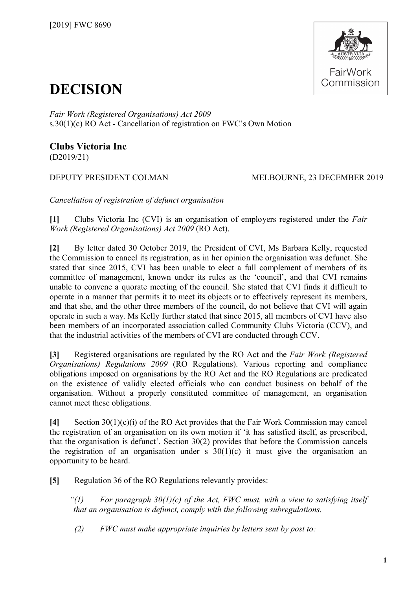

## **DECISION**

*Fair Work (Registered Organisations) Act 2009*  s.30(1)(c) RO Act - Cancellation of registration on FWC's Own Motion

## **Clubs Victoria Inc** (D2019/21)

## DEPUTY PRESIDENT COLMAN MELBOURNE, 23 DECEMBER 2019

*Cancellation of registration of defunct organisation*

**[1]** Clubs Victoria Inc (CVI) is an organisation of employers registered under the *Fair Work (Registered Organisations) Act 2009* (RO Act).

**[2]** By letter dated 30 October 2019, the President of CVI, Ms Barbara Kelly, requested the Commission to cancel its registration, as in her opinion the organisation was defunct. She stated that since 2015, CVI has been unable to elect a full complement of members of its committee of management, known under its rules as the 'council', and that CVI remains unable to convene a quorate meeting of the council. She stated that CVI finds it difficult to operate in a manner that permits it to meet its objects or to effectively represent its members, and that she, and the other three members of the council, do not believe that CVI will again operate in such a way. Ms Kelly further stated that since 2015, all members of CVI have also been members of an incorporated association called Community Clubs Victoria (CCV), and that the industrial activities of the members of CVI are conducted through CCV.

**[3]** Registered organisations are regulated by the RO Act and the *Fair Work (Registered Organisations) Regulations 2009* (RO Regulations). Various reporting and compliance obligations imposed on organisations by the RO Act and the RO Regulations are predicated on the existence of validly elected officials who can conduct business on behalf of the organisation. Without a properly constituted committee of management, an organisation cannot meet these obligations.

**[4]** Section 30(1)(c)(i) of the RO Act provides that the Fair Work Commission may cancel the registration of an organisation on its own motion if 'it has satisfied itself, as prescribed, that the organisation is defunct'. Section 30(2) provides that before the Commission cancels the registration of an organisation under s  $30(1)(c)$  it must give the organisation an opportunity to be heard.

**[5]** Regulation 36 of the RO Regulations relevantly provides:

*"(1) For paragraph 30(1)(c) of the Act, FWC must, with a view to satisfying itself that an organisation is defunct, comply with the following subregulations.*

*(2) FWC must make appropriate inquiries by letters sent by post to:*